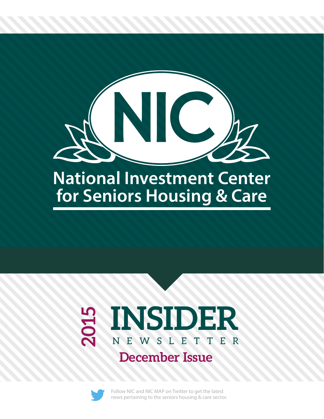

# **National Investment Center for Seniors Housing & Care**

# NEWSLETTER **INSIDER 2015 December Issue**



Follow [NIC a](https://twitter.com/Natl_Inv_Ctr)nd [NIC MAP](https://twitter.com/nic_map) on Twitter to get the latest news pertaining to the seniors housing & care sector.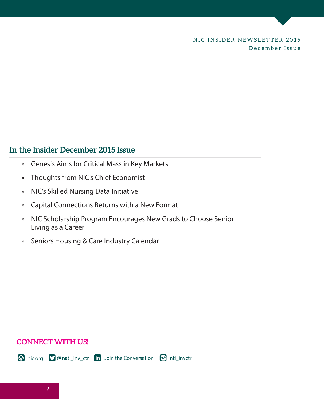# **In the Insider December 2015 Issue**

- » [Genesis Aims for Critical Mass in Key Markets](#page-2-0)
- » [Thoughts from NIC's Chief Economist](#page-5-0)
- » [NIC's Skilled Nursing Data Initiative](#page-8-0)
- » [Capital Connections Returns with a New Format](#page-10-0)
- » [NIC Scholarship Program Encourages New Grads to Choose Senior](#page-12-0)  [Living as a Career](#page-12-0)
- » [Seniors Housing & Care Industry Calendar](#page-13-0)

# **CONNECT WITH US!**

**the [nic.org](www.nic.org)**  $\sum \omega$  **[natl\\_inv\\_ctr](https://twitter.com/Natl_Inv_Ctr) in** [Join the Conversation](https://www.linkedin.com/company/national-investment-center)  $\omega$  [ntl\\_invctr](https://instagram.com/ntl_invctr/)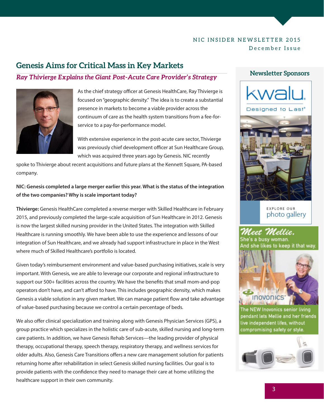# <span id="page-2-0"></span>**Genesis Aims for Critical Mass in Key Markets**

# *Ray Thivierge Explains the Giant Post-Acute Care Provider's Strategy*



As the chief strategy officer at Genesis HealthCare, Ray Thivierge is focused on "geographic density." The idea is to create a substantial presence in markets to become a viable provider across the continuum of care as the health system transitions from a fee-forservice to a pay-for-performance model.

With extensive experience in the post-acute care sector, Thivierge was previously chief development officer at Sun Healthcare Group, which was acquired three years ago by Genesis. NIC recently

spoke to Thivierge about recent acquisitions and future plans at the Kennett Square, PA-based company.

# **NIC: Genesis completed a large merger earlier this year. What is the status of the integration of the two companies? Why is scale important today?**

**Thivierge:** Genesis HealthCare completed a reverse merger with Skilled Healthcare in February 2015, and previously completed the large-scale acquisition of Sun Healthcare in 2012. Genesis is now the largest skilled nursing provider in the United States. The integration with Skilled Healthcare is running smoothly. We have been able to use the experience and lessons of our integration of Sun Healthcare, and we already had support infrastructure in place in the West where much of Skilled Healthcare's portfolio is located.

Given today's reimbursement environment and value-based purchasing initiatives, scale is very important. With Genesis, we are able to leverage our corporate and regional infrastructure to support our 500+ facilities across the country. We have the benefits that small mom-and-pop operators don't have, and can't afford to have. This includes geographic density, which makes Genesis a viable solution in any given market. We can manage patient flow and take advantage of value-based purchasing because we control a certain percentage of beds.

We also offer clinical specialization and training along with Genesis Physician Services (GPS), a group practice which specializes in the holistic care of sub-acute, skilled nursing and long-term care patients. In addition, we have Genesis Rehab Services—the leading provider of physical therapy, occupational therapy, speech therapy, respiratory therapy, and wellness services for older adults. Also, Genesis Care Transitions offers a new care management solution for patients returning home after rehabilitation in select Genesis skilled nursing facilities. Our goal is to provide patients with the confidence they need to manage their care at home utilizing the healthcare support in their own community.

## **Newsletter Sponsors**



EXPLORE OUR photo gallery

**"M**eet "Mellie. She's a busy woman. And she likes to keep it that way.



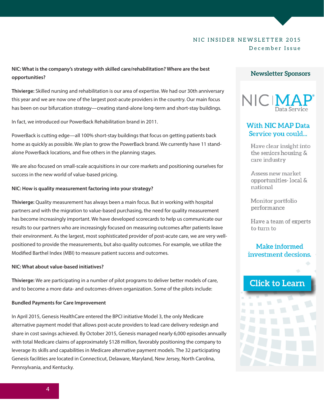# **NIC: What is the company's strategy with skilled care/rehabilitation? Where are the best opportunities?**

**Thivierge:** Skilled nursing and rehabilitation is our area of expertise. We had our 30th anniversary this year and we are now one of the largest post-acute providers in the country. Our main focus has been on our bifurcation strategy—creating stand-alone long-term and short-stay buildings.

In fact, we introduced our PowerBack Rehabilitation brand in 2011.

PowerBack is cutting edge—all 100% short-stay buildings that focus on getting patients back home as quickly as possible. We plan to grow the PowerBack brand. We currently have 11 standalone PowerBack locations, and five others in the planning stages.

We are also focused on small-scale acquisitions in our core markets and positioning ourselves for success in the new world of value-based pricing.

### **NIC: How is quality measurement factoring into your strategy?**

**Thivierge:** Quality measurement has always been a main focus. But in working with hospital partners and with the migration to value-based purchasing, the need for quality measurement has become increasingly important. We have developed scorecards to help us communicate our results to our partners who are increasingly focused on measuring outcomes after patients leave their environment. As the largest, most sophisticated provider of post-acute care, we are very wellpositioned to provide the measurements, but also quality outcomes. For example, we utilize the Modified Barthel Index (MBI) to measure patient success and outcomes.

#### **NIC: What about value-based initiatives?**

**Thivierge:** We are participating in a number of pilot programs to deliver better models of care, and to become a more data- and outcomes-driven organization. Some of the pilots include:

#### **Bundled Payments for Care Improvement**

In April 2015, Genesis HealthCare entered the BPCI initiative Model 3, the only Medicare alternative payment model that allows post-acute providers to lead care delivery redesign and share in cost savings achieved. By October 2015, Genesis managed nearly 6,000 episodes annually with total Medicare claims of approximately \$128 million, favorably positioning the company to leverage its skills and capabilities in Medicare alternative payment models. The 32 participating Genesis facilities are located in Connecticut, Delaware, Maryland, New Jersey, North Carolina, Pennsylvania, and Kentucky.

## **Newsletter Sponsors**



# **With NIC MAP Data** Service you could...

Have clear insight into the seniors housing & care industry

Assess new market opportunities-local & national

Monitor portfolio performance

Have a team of experts to turn to

Make informed investment decsions.

# **Click to Learn**



 $\lambda$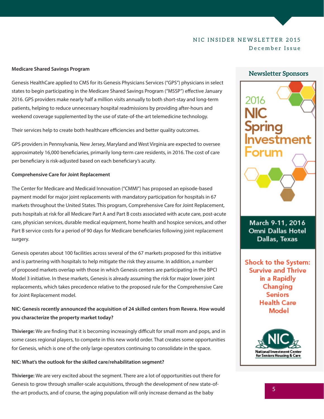#### **Medicare Shared Savings Program**

Genesis HealthCare applied to CMS for its Genesis Physicians Services ("GPS") physicians in select states to begin participating in the Medicare Shared Savings Program ("MSSP") effective January 2016. GPS providers make nearly half a million visits annually to both short-stay and long-term patients, helping to reduce unnecessary hospital readmissions by providing after-hours and weekend coverage supplemented by the use of state-of-the-art telemedicine technology.

Their services help to create both healthcare efficiencies and better quality outcomes.

GPS providers in Pennsylvania, New Jersey, Maryland and West Virginia are expected to oversee approximately 16,000 beneficiaries, primarily long-term care residents, in 2016. The cost of care per beneficiary is risk-adjusted based on each beneficiary's acuity.

## **Comprehensive Care for Joint Replacement**

The Center for Medicare and Medicaid Innovation ("CMMI") has proposed an episode-based payment model for major joint replacements with mandatory participation for hospitals in 67 markets throughout the United States. This program, Comprehensive Care for Joint Replacement, puts hospitals at risk for all Medicare Part A and Part B costs associated with acute care, post-acute care, physician services, durable medical equipment, home health and hospice services, and other Part B service costs for a period of 90 days for Medicare beneficiaries following joint replacement surgery.

Genesis operates about 100 facilities across several of the 67 markets proposed for this initiative and is partnering with hospitals to help mitigate the risk they assume. In addition, a number of proposed markets overlap with those in which Genesis centers are participating in the BPCI Model 3 initiative. In these markets, Genesis is already assuming the risk for major lower joint replacements, which takes precedence relative to the proposed rule for the Comprehensive Care for Joint Replacement model.

# **NIC: Genesis recently announced the acquisition of 24 skilled centers from Revera. How would you characterize the property market today?**

**Thivierge:** We are finding that it is becoming increasingly difficult for small mom and pops, and in some cases regional players, to compete in this new world order. That creates some opportunities for Genesis, which is one of the only large operators continuing to consolidate in the space.

#### **NIC: What's the outlook for the skilled care/rehabilitation segment?**

**Thivierge:** We are very excited about the segment. There are a lot of opportunities out there for Genesis to grow through smaller-scale acquisitions, through the development of new state-ofthe-art products, and of course, the aging population will only increase demand as the baby

## **Newsletter Sponsors**



for Seniors Housing & Care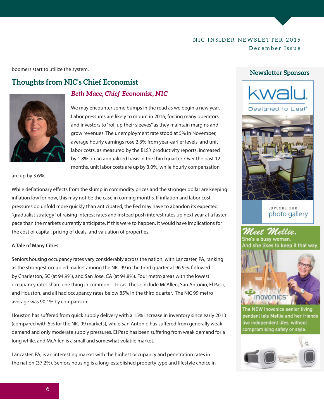<span id="page-5-0"></span>boomers start to utilize the system.

# **Thoughts from NIC's Chief Economist**



# *Beth Mace, Chief Economist, NIC*

We may encounter some bumps in the road as we begin a new year. Labor pressures are likely to mount in 2016, forcing many operators and investors to "roll up their sleeves" as they maintain margins and grow revenues. The unemployment rate stood at 5% in November, average hourly earnings rose 2.3% from year-earlier levels, and unit labor costs, as measured by the BLS's productivity reports, increased by 1.8% on an annualized basis in the third quarter. Over the past 12 months, unit labor costs are up by 3.0%, while hourly compensation

are up by 3.6%.

While deflationary effects from the slump in commodity prices and the stronger dollar are keeping inflation low for now, this may not be the case in coming months. If inflation and labor cost pressures do unfold more quickly than anticipated, the Fed may have to abandon its expected "gradualist strategy" of raising interest rates and instead push interest rates up next year at a faster pace than the markets currently anticipate. If this were to happen, it would have implications for the cost of capital, pricing of deals, and valuation of properties.

#### **A Tale of Many Cities**

Seniors housing occupancy rates vary considerably across the nation, with Lancaster, PA, ranking as the strongest occupied market among the NIC 99 in the third quarter at 96.9%, followed by Charleston, SC (at 94.9%), and San Jose, CA (at 94.8%). Four metro areas with the lowest occupancy rates share one thing in common—Texas. These include McAllen, San Antonio, El Paso, and Houston, and all had occupancy rates below 85% in the third quarter. The NIC 99 metro average was 90.1% by comparison.

Houston has suffered from quick supply delivery with a 15% increase in inventory since early 2013 (compared with 5% for the NIC 99 markets), while San Antonio has suffered from generally weak demand and only moderate supply pressures. El Paso has been suffering from weak demand for a long while, and McAllen is a small and somewhat volatile market.

Lancaster, PA, is an interesting market with the highest occupancy and penetration rates in the nation (37.2%). Seniors housing is a long-established property type and lifestyle choice in

# **Newsletter Sponsors**



EXPLORE OUR photo gallery

Meet Mellie. She's a busy woman. she likes to keep it that way.



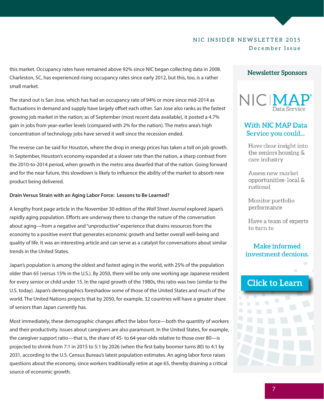this market. Occupancy rates have remained above 92% since NIC began collecting data in 2008. Charleston, SC, has experienced rising occupancy rates since early 2012, but this, too, is a rather small market.

The stand out is San Jose, which has had an occupancy rate of 94% or more since mid-2014 as fluctuations in demand and supply have largely offset each other. San Jose also ranks as the fastest growing job market in the nation; as of September (most recent data available), it posted a 4.7% gain in jobs from year-earlier levels (compared with 2% for the nation). The metro area's high concentration of technology jobs have served it well since the recession ended.

The reverse can be said for Houston, where the drop in energy prices has taken a toll on job growth. In September, Houston's economy expanded at a slower rate than the nation, a sharp contrast from the 2010-to-2014 period, when growth in the metro area dwarfed that of the nation. Going forward and for the near future, this slowdown is likely to influence the ability of the market to absorb new product being delivered.

#### **Drain Versus Strain with an Aging Labor Force: Lessons to Be Learned?**

A lengthy front page article in the November 30 edition of the *Wall Street Journal* explored Japan's rapidly aging population. Efforts are underway there to change the nature of the conversation about aging—from a negative and "unproductive" experience that drains resources from the economy to a positive event that generates economic growth and better overall well-being and quality of life. It was an interesting article and can serve as a catalyst for conversations about similar trends in the United States.

Japan's population is among the oldest and fastest aging in the world, with 25% of the population older than 65 (versus 15% in the U.S.). By 2050, there will be only one working age Japanese resident for every senior or child under 15. In the rapid growth of the 1980s, this ratio was two (similar to the U.S. today). Japan's demographics foreshadow some of those of the United States and much of the world. The United Nations projects that by 2050, for example, 32 countries will have a greater share of seniors than Japan currently has.

Most immediately, these demographic changes affect the labor force—both the quantity of workers and their productivity. Issues about caregivers are also paramount. In the United States, for example, the caregiver support ratio—that is, the share of 45- to 64-year-olds relative to those over 80—is projected to shrink from 7:1 in 2015 to 5:1 by 2026 (when the first baby boomer turns 80) to 4:1 by 2031, according to the U.S. Census Bureau's latest population estimates. An aging labor force raises questions about the economy, since workers traditionally retire at age 65, thereby draining a critical source of economic growth.

## **Newsletter Sponsors**



# **With NIC MAP Data** Service you could...

Have clear insight into the seniors housing & care industry

Assess new market opportunities-local & national

Monitor portfolio performance

Have a team of experts to turn to

# Make informed investment decsions.



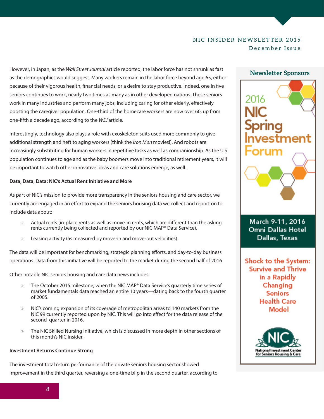However, in Japan, as the *Wall Street Journal* article reported, the labor force has not shrunk as fast as the demographics would suggest. Many workers remain in the labor force beyond age 65, either because of their vigorous health, financial needs, or a desire to stay productive. Indeed, one in five seniors continues to work, nearly two times as many as in other developed nations. These seniors work in many industries and perform many jobs, including caring for other elderly, effectively boosting the caregiver population. One-third of the homecare workers are now over 60, up from one-fifth a decade ago, according to the *WSJ* article.

Interestingly, technology also plays a role with exoskeleton suits used more commonly to give additional strength and heft to aging workers (think the *Iron Man* movies!). And robots are increasingly substituting for human workers in repetitive tasks as well as companionship. As the U.S. population continues to age and as the baby boomers move into traditional retirement years, it will be important to watch other innovative ideas and care solutions emerge, as well.

### **Data, Data, Data: NIC's Actual Rent Initiative and More**

As part of NIC's mission to provide more transparency in the seniors housing and care sector, we currently are engaged in an effort to expand the seniors housing data we collect and report on to include data about:

- » Actual rents (in-place rents as well as move-in rents, which are different than the asking rents currently being collected and reported by our NIC MAP® Data Service).
- Leasing activity (as measured by move-in and move-out velocities).

The data will be important for benchmarking, strategic planning efforts, and day-to-day business operations. Data from this initiative will be reported to the market during the second half of 2016.

Other notable NIC seniors housing and care data news includes:

- » The October 2015 milestone, when the NIC MAP® Data Service's quarterly time series of market fundamentals data reached an entire 10 years—dating back to the fourth quarter of 2005.
- » NIC's coming expansion of its coverage of metropolitan areas to 140 markets from the NIC 99 currently reported upon by NIC. This will go into effect for the data release of the second quarter in 2016.
- » The NIC Skilled Nursing Initiative, which is discussed in more depth in other sections of this month's NIC Insider.

#### **Investment Returns Continue Strong**

The investment total return performance of the private seniors housing sector showed improvement in the third quarter, reversing a one-time blip in the second quarter, according to



for Seniors Housing & Care

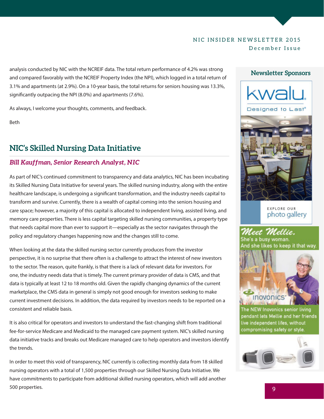<span id="page-8-0"></span>analysis conducted by NIC with the NCREIF data. The total return performance of 4.2% was strong and compared favorably with the NCREIF Property Index (the NPI), which logged in a total return of 3.1% and apartments (at 2.9%). On a 10-year basis, the total returns for seniors housing was 13.3%, significantly outpacing the NPI (8.0%) and apartments (7.6%).

As always, I welcome your thoughts, comments, and feedback.

Beth

# **NIC's Skilled Nursing Data Initiative**

# *Bill Kauffman, Senior Research Analyst, NIC*

As part of NIC's continued commitment to transparency and data analytics, NIC has been incubating its Skilled Nursing Data Initiative for several years. The skilled nursing industry, along with the entire healthcare landscape, is undergoing a significant transformation, and the industry needs capital to transform and survive. Currently, there is a wealth of capital coming into the seniors housing and care space; however, a majority of this capital is allocated to independent living, assisted living, and memory care properties. There is less capital targeting skilled nursing communities, a property type that needs capital more than ever to support it—especially as the sector navigates through the policy and regulatory changes happening now and the changes still to come.

When looking at the data the skilled nursing sector currently produces from the investor perspective, it is no surprise that there often is a challenge to attract the interest of new investors to the sector. The reason, quite frankly, is that there is a lack of relevant data for investors. For one, the industry needs data that is timely. The current primary provider of data is CMS, and that data is typically at least 12 to 18 months old. Given the rapidly changing dynamics of the current marketplace, the CMS data in general is simply not good enough for investors seeking to make current investment decisions. In addition, the data required by investors needs to be reported on a consistent and reliable basis.

It is also critical for operators and investors to understand the fast-changing shift from traditional fee-for-service Medicare and Medicaid to the managed care payment system. NIC's skilled nursing data initiative tracks and breaks out Medicare managed care to help operators and investors identify the trends.

In order to meet this void of transparency, NIC currently is collecting monthly data from 18 skilled nursing operators with a total of 1,500 properties through our Skilled Nursing Data Initiative. We have commitments to participate from additional skilled nursing operators, which will add another 500 properties.

## **Newsletter Sponsors**



EXPLORE OUR photo gallery

Meet Mellie. She's a busy woman. she likes to keep it that way



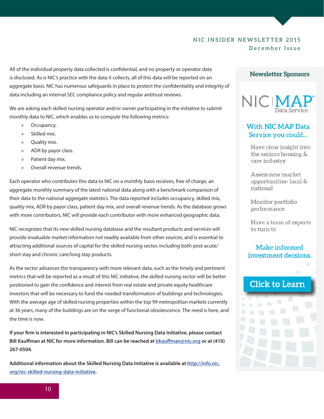All of the individual property data collected is confidential, and no property or operator data is disclosed. As is NIC's practice with the data it collects, all of this data will be reported on an aggregate basis. NIC has numerous safeguards in place to protect the confidentiality and integrity of data including an internal SEC compliance policy and regular antitrust reviews.

We are asking each skilled nursing operator and/or owner participating in the initiative to submit monthly data to NIC, which enables us to compute the following metrics:

- » Occupancy.
- » Skilled mix.
- » Quality mix.
- » ADR by payor class.
- » Patient day mix.
- » Overall revenue trends.

Each operator who contributes this data to NIC on a monthly basis receives, free of charge, an aggregate monthly summary of the latest national data along with a benchmark comparison of their data to the national aggregate statistics. The data reported includes occupancy, skilled mix, quality mix, ADR by payor class, patient day mix, and overall revenue trends. As the database grows with more contributors, NIC will provide each contributor with more enhanced geographic data.

NIC recognizes that its new skilled nursing database and the resultant products and services will provide invaluable market information not readily available from other sources, and is essential to attracting additional sources of capital for the skilled nursing sector, including both post-acute/ short stay and chronic care/long stay products.

As the sector advances the transparency with more relevant data, such as the timely and pertinent metrics that will be reported as a result of this NIC initiative, the skilled nursing sector will be better positioned to gain the confidence and interest from real estate and private equity healthcare investors that will be necessary to fund the needed transformation of buildings and technologies. With the average age of skilled nursing properties within the top 99 metropolitan markets currently at 36 years, many of the buildings are on the verge of functional obsolescence. The need is here, and the time is now.

**If your firm is interested in participating in NIC's Skilled Nursing Data Initiative, please contact Bill Kauffman at NIC for more information. Bill can be reached at [bkauffman@nic.org](mailto:bkauffman%40nic.org?subject=NIC%27s%20Skilled%20Data%20Initative-%20I%27m%20Interested) or at (410) 267-0504.**

**Additional information about the Skilled Nursing Data Initiative is available at [http://info.nic.](http://info.nic.org/nic-skilled-nursing-data-initiative) [org/nic-skilled-nursing-data-initiative](http://info.nic.org/nic-skilled-nursing-data-initiative).**

## **Newsletter Sponsors**



# **With NIC MAP Data** Service you could...

Have clear insight into the seniors housing & care industry

Assess new market opportunities-local & national

Monitor portfolio performance

Have a team of experts to turn to

# Make informed investment decsions.



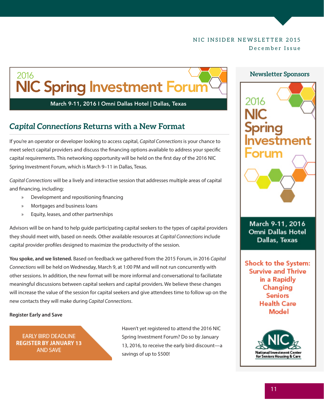# <span id="page-10-0"></span>2016 NIC Spring [Investment](http://www.nicevent.org/events/2016-nic-spring-investment-forum/event-summary-211a744daea047cbb549f40429771d5c.aspx?utm_campaign=NIC%202016%20Spring%20Investment%20Forum&utm_medium=Banner%20Ad&utm_source=December%20Insider%20Newsletter) Forum

March 9-11, 2016 I Omni Dallas Hotel | Dallas, Texas

# *Capital Connections* **Returns with a New Format**

If you're an operator or developer looking to access capital, *Capital Connections* is your chance to meet select capital providers and discuss the financing options available to address your specific capital requirements. This networking opportunity will be held on the first day of the 2016 NIC Spring Investment Forum, which is March 9–11 in Dallas, Texas.

*Capital Connections* will be a lively and interactive session that addresses multiple areas of capital and financing, including:

- » Development and repositioning financing
- » Mortgages and business loans
- » Equity, leases, and other partnerships

Advisors will be on hand to help guide participating capital seekers to the types of capital providers they should meet with, based on needs. Other available resources at *Capital Connections* include capital provider profiles designed to maximize the productivity of the session.

**You spoke, and we listened.** Based on feedback we gathered from the 2015 Forum, in 2016 *Capital Connections* will be held on Wednesday, March 9, at 1:00 PM and will not run concurrently with other sessions. In addition, the new format will be more informal and conversational to faciliatate meaningful discussions between capital seekers and capital providers. We believe these changes will increase the value of the session for capital seekers and give attendees time to follow up on the new contacts they will make during *Capital Connections*.

#### **Register Early and Save**

**EARLY BIRD DEADLINE REGISTER BY JANUARY 13 AND SAVE** 

[H](http://www.nicevent.org/events/2016-nic-spring-investment-forum/event-summary-211a744daea047cbb549f40429771d5c.aspx?utm_campaign=NIC%202016%20Spring%20Investment%20Forum&utm_medium=Banner%20Ad&utm_source=December%20Insider%20Newsletter)aven't yet registered to attend the 2016 NIC Spring Investment Forum? Do so by January 13, 2016, to receive the early bird discount—a savings of up to \$500!

March 9-11, 2016 Omni Dallas Hotel Dallas, Texas Shock to the System:

**Newsletter Sponsors**

**Survive and Thrive** in a Rapidly Changing **Seniors Health Care** Model

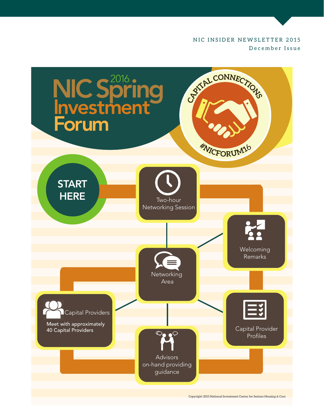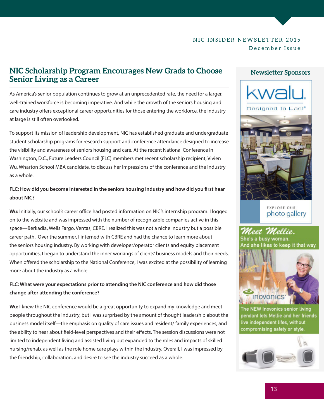# <span id="page-12-0"></span>**NIC Scholarship Program Encourages New Grads to Choose Senior Living as a Career**

As America's senior population continues to grow at an unprecedented rate, the need for a larger, well-trained workforce is becoming imperative. And while the growth of the seniors housing and care industry offers exceptional career opportunities for those entering the workforce, the industry at large is still often overlooked.

To support its mission of leadership development, NIC has established graduate and undergraduate student scholarship programs for research support and conference attendance designed to increase the visibility and awareness of seniors housing and care. At the recent National Conference in Washington, D.C., Future Leaders Council (FLC) members met recent scholarship recipient, Vivien Wu, Wharton School MBA candidate, to discuss her impressions of the conference and the industry as a whole.

# **FLC: How did you become interested in the seniors housing industry and how did you first hear about NIC?**

**Wu:** Initially, our school's career office had posted information on NIC's internship program. I logged on to the website and was impressed with the number of recognizable companies active in this space—Berkadia, Wells Fargo, Ventas, CBRE. I realized this was not a niche industry but a possible career path. Over the summer, I interned with CBRE and had the chance to learn more about the seniors housing industry. By working with developer/operator clients and equity placement opportunities, I began to understand the inner workings of clients' business models and their needs. When offered the scholarship to the National Conference, I was excited at the possibility of learning more about the industry as a whole.

# **FLC: What were your expectations prior to attending the NIC conference and how did those change after attending the conference?**

**Wu:** I knew the NIC conference would be a great opportunity to expand my knowledge and meet people throughout the industry, but I was surprised by the amount of thought leadership about the business model itself—the emphasis on quality of care issues and resident/ family experiences, and the ability to hear about field-level perspectives and their effects. The session discussions were not limited to independent living and assisted living but expanded to the roles and impacts of skilled nursing/rehab, as well as the role home care plays within the industry. Overall, I was impressed by the friendship, collaboration, and desire to see the industry succeed as a whole.

# **Newsletter Sponsors**





EXPLORE OUR photo gallery

Neet Mellie. She's a busy woman. And she likes to keep it that way.